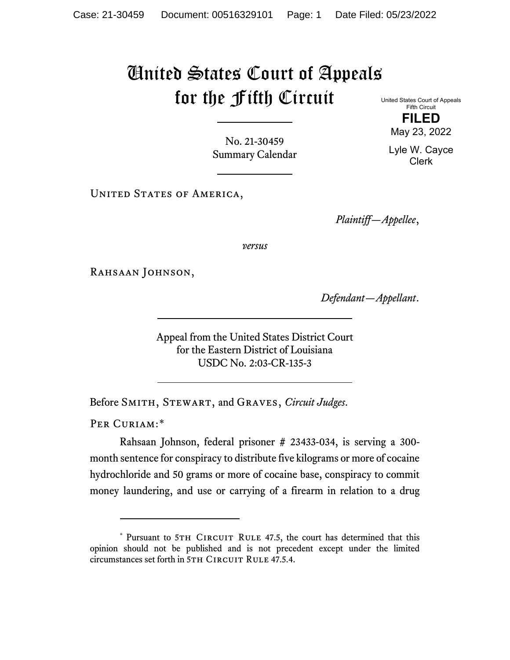## United States Court of Appeals for the Fifth Circuit

United States Court of Appeals Fifth Circuit **FILED**

May 23, 2022

Lyle W. Cayce Clerk

No. 21-30459 Summary Calendar

UNITED STATES OF AMERICA,

*Plaintiff—Appellee*,

*versus*

RAHSAAN JOHNSON,

*Defendant—Appellant*.

Appeal from the United States District Court for the Eastern District of Louisiana USDC No. 2:03-CR-135-3

Before Smith, Stewart, and Graves, *Circuit Judges*.

PER CURIAM:[\\*](#page-0-0)

Rahsaan Johnson, federal prisoner # 23433-034, is serving a 300 month sentence for conspiracy to distribute five kilograms or more of cocaine hydrochloride and 50 grams or more of cocaine base, conspiracy to commit money laundering, and use or carrying of a firearm in relation to a drug

<span id="page-0-0"></span><sup>\*</sup> Pursuant to 5TH CIRCUIT RULE 47.5, the court has determined that this opinion should not be published and is not precedent except under the limited circumstances set forth in 5TH CIRCUIT RULE 47.5.4.